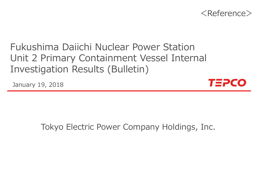

# Fukushima Daiichi Nuclear Power StationUnit 2 Primary Containment Vessel Internal Investigation Results (Bulletin)

January 19, 2018



# Tokyo Electric Power Company Holdings, Inc.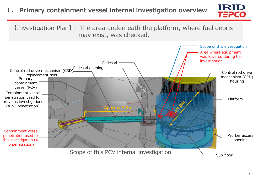## **1. Primary containment vessel internal investigation overview**



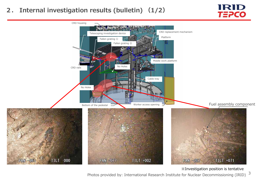### **2. Internal investigation results (bulletin) (1/2)**





※Investigation position is tentative

3 Photos provided by: International Research Institute for Nuclear Decommissioning (IRID)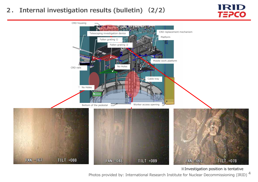### **2. Internal investigation results (bulletin) (2/2)**





※Investigation position is tentative

Photos provided by: International Research Institute for Nuclear Decommissioning (IRID)  $^{\text{4}}$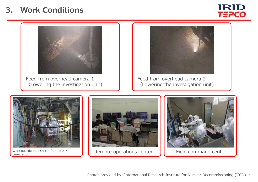# **3. Work Conditions**





Feed from overhead camera 1(Lowering the investigation unit)



Feed from overhead camera 2(Lowering the investigation unit)



Work outside the PCV (In front of X-6  $\bigcup$  Remote operations center  $\bigcup$  Field command center



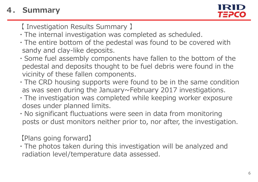# **4. Summary**

【 Investigation Results Summary 】

- ・The internal investigation was completed as scheduled.
- ・The entire bottom of the pedestal was found to be covered with sandy and clay-like deposits.
- ・Some fuel assembly components have fallen to the bottom of the pedestal and deposits thought to be fuel debris were found in the vicinity of these fallen components.
- ・The CRD housing supports were found to be in the same condition as was seen during the January~February 2017 investigations.
- ・The investigation was completed while keeping worker exposure doses under planned limits.
- ・No significant fluctuations were seen in data from monitoring posts or dust monitors neither prior to, nor after, the investigation.

【Plans going forward】

・The photos taken during this investigation will be analyzed and radiation level/temperature data assessed.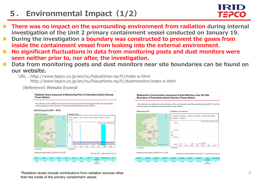# **5. Environmental Impact(1/2)**

- T **There was no impact on the surrounding environment from radiation during internal investigation of the Unit 2 primary containment vessel conducted on January 19.**
- e<br>M **During the investigation a boundary was constructed to prevent the gases from inside the containment vessel from leaking into the external environment.**
- **No significant fluctuations in data from monitoring posts and dust monitors were seen neither prior to, nor after, the investigation.**
- **Data from monitoring posts and dust monitors near site boundaries can be found on our website.**
	- URL:http://www.tepco.co.jp/en/nu/fukushima-np/f1/index-e.html http://www.tepco.co.jp/en/nu/fukushima-np/f1/dustmonitor/index-e.html

(Reference) Website Excerpt

#### Radiation Dose measured at Monitoring Post of Fukushima Daiichi Nuclear **Power Station**

The following is the radiation doses of the air measured by the monitoring posts (MP1-8) and portable monitoring posts on the premises of Fukushima Daiichi Nuclear Power Station







\*Radiation levels include contributions from radiation sources other than the inside of the primary containment vessel.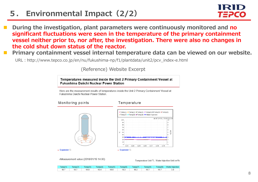# **5. Environmental Impact(2/2)**

- **During the investigation, plant parameters were continuously monitored and no significant fluctuations were seen in the temperature of the primary containment vessel neither prior to, nor after, the investigation. There were also no changes in the cold shut down status of the reactor.**
- e<br>M **Primary containment vessel internal temperature data can be viewed on our website.**

URL:http://www.tepco.co.jp/en/nu/fukushima-np/f1/plantdata/unit2/pcv\_index-e.html

(Reference) Website Excerpt

Temperatures measured inside the Unit 2 Primary Containment Vessel at **Fukushima Daiichi Nuclear Power Station** 

Here are the measurement results of temperatures inside the Unit 2 Primary Containment Vessel at Fukushima Daiichi Nuclear Power Station.



oMeasurement value (2018/01/19 14:00)

Temperature Unit: C. Water Injection Unit: m3/h

|  |  |  |  | Temp(1)   Temp(2)   Temp(3)   Temp(4)   Temp(5)   Temp(6)   Temp(7)   Temp(8)   Temp(9)  WaterInjection |
|--|--|--|--|---------------------------------------------------------------------------------------------------------|
|  |  |  |  |                                                                                                         |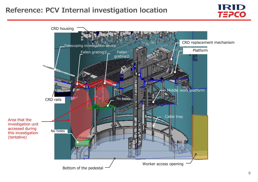## **Reference: PCV Internal investigation location**